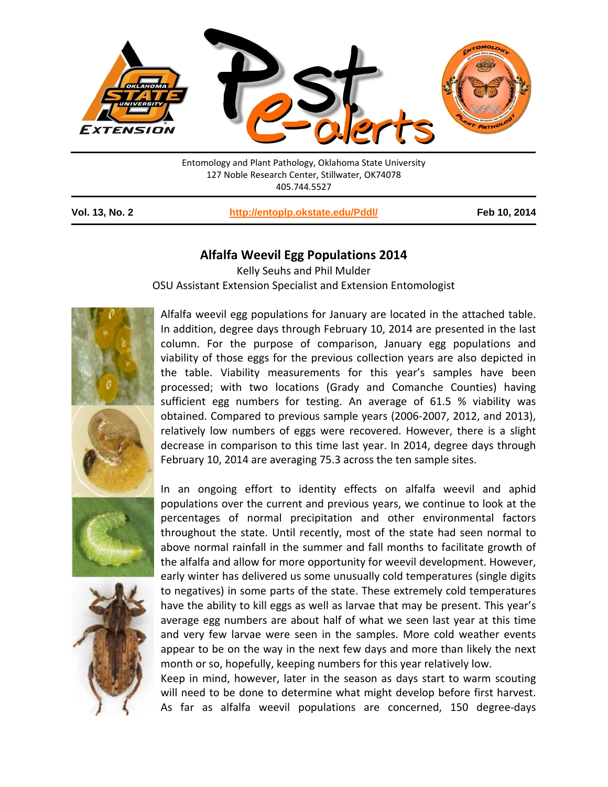

Entomology and Plant Pathology, Oklahoma State University 127 Noble Research Center, Stillwater, OK74078 405.744.5527

**Vol. 13, No. 2 <http://entoplp.okstate.edu/Pddl/> Feb 10, 2014**

## **Alfalfa Weevil Egg Populations 2014**

Kelly Seuhs and Phil Mulder OSU Assistant Extension Specialist and Extension Entomologist



Alfalfa weevil egg populations for January are located in the attached table. In addition, degree days through February 10, 2014 are presented in the last column. For the purpose of comparison, January egg populations and viability of those eggs for the previous collection years are also depicted in the table. Viability measurements for this year's samples have been processed; with two locations (Grady and Comanche Counties) having sufficient egg numbers for testing. An average of 61.5 % viability was obtained. Compared to previous sample years (2006-2007, 2012, and 2013), relatively low numbers of eggs were recovered. However, there is a slight decrease in comparison to this time last year. In 2014, degree days through February 10, 2014 are averaging 75.3 across the ten sample sites.

In an ongoing effort to identity effects on alfalfa weevil and aphid populations over the current and previous years, we continue to look at the percentages of normal precipitation and other environmental factors throughout the state. Until recently, most of the state had seen normal to above normal rainfall in the summer and fall months to facilitate growth of the alfalfa and allow for more opportunity for weevil development. However, early winter has delivered us some unusually cold temperatures (single digits to negatives) in some parts of the state. These extremely cold temperatures have the ability to kill eggs as well as larvae that may be present. This year's average egg numbers are about half of what we seen last year at this time and very few larvae were seen in the samples. More cold weather events appear to be on the way in the next few days and more than likely the next month or so, hopefully, keeping numbers for this year relatively low.

Keep in mind, however, later in the season as days start to warm scouting will need to be done to determine what might develop before first harvest. As far as alfalfa weevil populations are concerned, 150 degree-days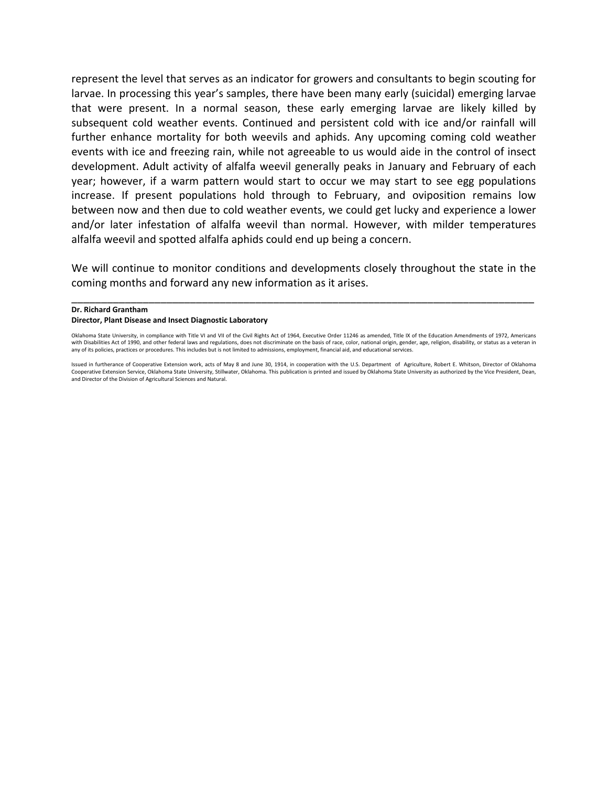represent the level that serves as an indicator for growers and consultants to begin scouting for larvae. In processing this year's samples, there have been many early (suicidal) emerging larvae that were present. In a normal season, these early emerging larvae are likely killed by subsequent cold weather events. Continued and persistent cold with ice and/or rainfall will further enhance mortality for both weevils and aphids. Any upcoming coming cold weather events with ice and freezing rain, while not agreeable to us would aide in the control of insect development. Adult activity of alfalfa weevil generally peaks in January and February of each year; however, if a warm pattern would start to occur we may start to see egg populations increase. If present populations hold through to February, and oviposition remains low between now and then due to cold weather events, we could get lucky and experience a lower and/or later infestation of alfalfa weevil than normal. However, with milder temperatures alfalfa weevil and spotted alfalfa aphids could end up being a concern.

We will continue to monitor conditions and developments closely throughout the state in the coming months and forward any new information as it arises.

\_\_\_\_\_\_\_\_\_\_\_\_\_\_\_\_\_\_\_\_\_\_\_\_\_\_\_\_\_\_\_\_\_\_\_\_\_\_\_\_\_\_\_\_\_\_\_\_\_\_\_\_\_\_\_\_\_\_\_\_\_\_\_\_\_\_\_\_\_\_\_\_\_\_\_\_\_\_

## **Dr. Richard Grantham**

## **Director, Plant Disease and Insect Diagnostic Laboratory**

Oklahoma State University, in compliance with Title VI and VII of the Civil Rights Act of 1964, Executive Order 11246 as amended, Title IX of the Education Amendments of 1972, Americans with Disabilities Act of 1990, and other federal laws and regulations, does not discriminate on the basis of race, color, national origin, gender, age, religion, disability, or status as a veteran in any of its policies, practices or procedures. This includes but is not limited to admissions, employment, financial aid, and educational services.

Issued in furtherance of Cooperative Extension work, acts of May 8 and June 30, 1914, in cooperation with the U.S. Department of Agriculture, Robert E. Whitson, Director of Oklahoma Cooperative Extension Service, Oklahoma State University, Stillwater, Oklahoma. This publication is printed and issued by Oklahoma State University as authorized by the Vice President, Dean, and Director of the Division of Agricultural Sciences and Natural.